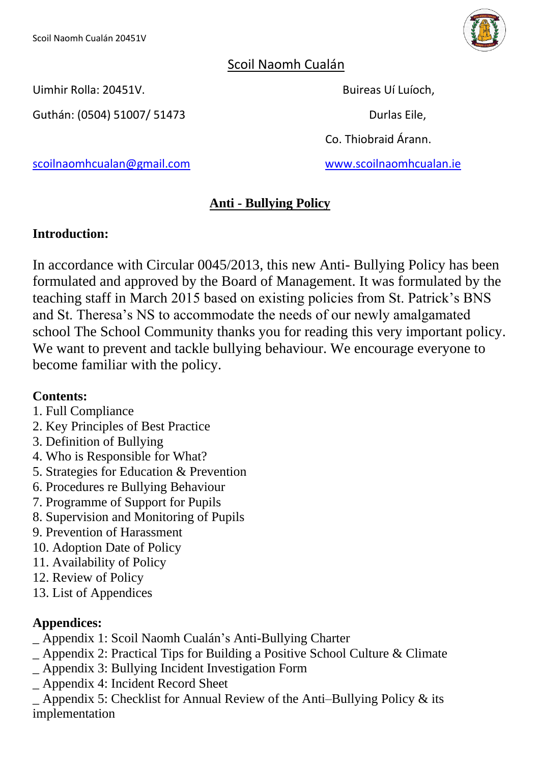

## Scoil Naomh Cualán

Uimhir Rolla: 20451V. Buireas Uí Luíoch,

Guthán: (0504) 51007/ 51473 Durlas Eile,

Co. Thiobraid Árann.

[scoilnaomhcualan@gmail.com](mailto:scoilnaomhcualan@gmail.com) [www.scoilnaomhcualan.ie](http://www.scoilnaomhcualan.ie/)

## **Anti - Bullying Policy**

## **Introduction:**

In accordance with Circular 0045/2013, this new Anti- Bullying Policy has been formulated and approved by the Board of Management. It was formulated by the teaching staff in March 2015 based on existing policies from St. Patrick's BNS and St. Theresa's NS to accommodate the needs of our newly amalgamated school The School Community thanks you for reading this very important policy. We want to prevent and tackle bullying behaviour. We encourage everyone to become familiar with the policy.

## **Contents:**

- 1. Full Compliance
- 2. Key Principles of Best Practice
- 3. Definition of Bullying
- 4. Who is Responsible for What?
- 5. Strategies for Education & Prevention
- 6. Procedures re Bullying Behaviour
- 7. Programme of Support for Pupils
- 8. Supervision and Monitoring of Pupils
- 9. Prevention of Harassment
- 10. Adoption Date of Policy
- 11. Availability of Policy
- 12. Review of Policy
- 13. List of Appendices

## **Appendices:**

- \_ Appendix 1: Scoil Naomh Cualán's Anti-Bullying Charter
- \_ Appendix 2: Practical Tips for Building a Positive School Culture & Climate
- \_ Appendix 3: Bullying Incident Investigation Form
- \_ Appendix 4: Incident Record Sheet
- Appendix 5: Checklist for Annual Review of the Anti–Bullying Policy  $\&$  its implementation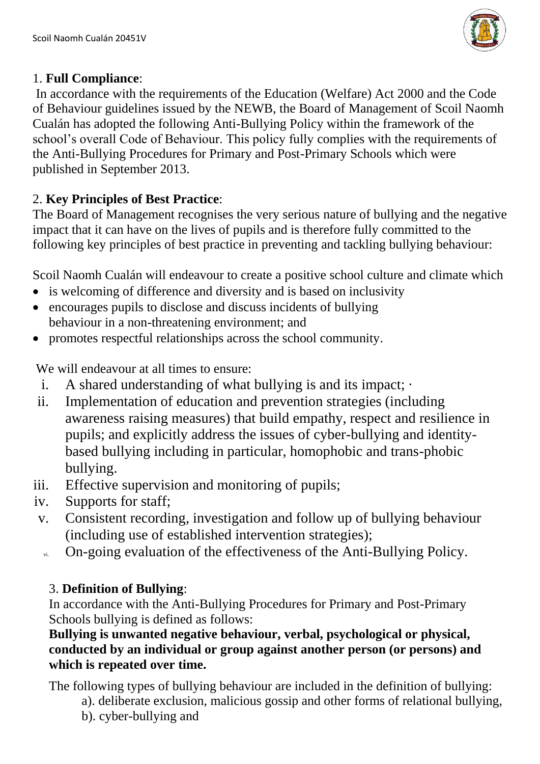

#### 1. **Full Compliance**:

In accordance with the requirements of the Education (Welfare) Act 2000 and the Code of Behaviour guidelines issued by the NEWB, the Board of Management of Scoil Naomh Cualán has adopted the following Anti-Bullying Policy within the framework of the school's overall Code of Behaviour. This policy fully complies with the requirements of the Anti-Bullying Procedures for Primary and Post-Primary Schools which were published in September 2013.

## 2. **Key Principles of Best Practice**:

The Board of Management recognises the very serious nature of bullying and the negative impact that it can have on the lives of pupils and is therefore fully committed to the following key principles of best practice in preventing and tackling bullying behaviour:

Scoil Naomh Cualán will endeavour to create a positive school culture and climate which

- is welcoming of difference and diversity and is based on inclusivity
- encourages pupils to disclose and discuss incidents of bullying behaviour in a non-threatening environment; and
- promotes respectful relationships across the school community.

We will endeavour at all times to ensure:

- i. A shared understanding of what bullying is and its impact;  $\cdot$
- ii. Implementation of education and prevention strategies (including awareness raising measures) that build empathy, respect and resilience in pupils; and explicitly address the issues of cyber-bullying and identitybased bullying including in particular, homophobic and trans-phobic bullying.
- iii. Effective supervision and monitoring of pupils;
- iv. Supports for staff;
- v. Consistent recording, investigation and follow up of bullying behaviour (including use of established intervention strategies);
- vi. On-going evaluation of the effectiveness of the Anti-Bullying Policy.

## 3. **Definition of Bullying**:

In accordance with the Anti-Bullying Procedures for Primary and Post-Primary Schools bullying is defined as follows:

### **Bullying is unwanted negative behaviour, verbal, psychological or physical, conducted by an individual or group against another person (or persons) and which is repeated over time.**

The following types of bullying behaviour are included in the definition of bullying:

a). deliberate exclusion, malicious gossip and other forms of relational bullying, b). cyber-bullying and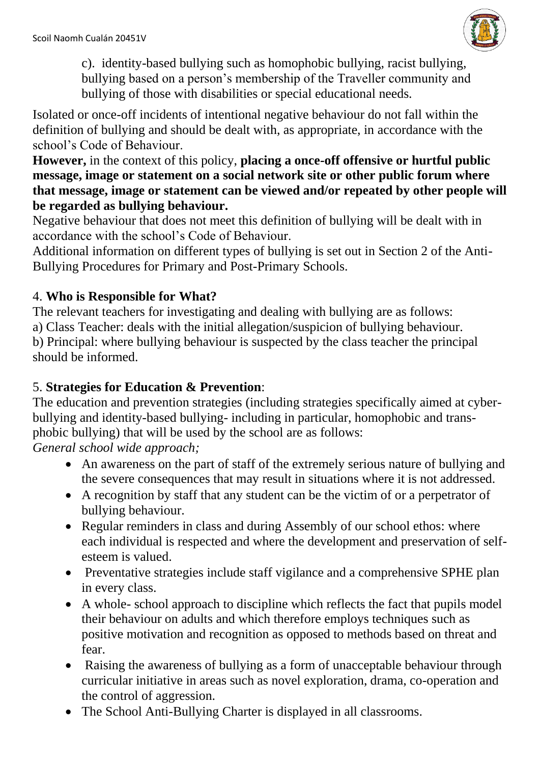

c). identity-based bullying such as homophobic bullying, racist bullying, bullying based on a person's membership of the Traveller community and bullying of those with disabilities or special educational needs.

Isolated or once-off incidents of intentional negative behaviour do not fall within the definition of bullying and should be dealt with, as appropriate, in accordance with the school's Code of Behaviour.

**However,** in the context of this policy, **placing a once-off offensive or hurtful public message, image or statement on a social network site or other public forum where that message, image or statement can be viewed and/or repeated by other people will be regarded as bullying behaviour.**

Negative behaviour that does not meet this definition of bullying will be dealt with in accordance with the school's Code of Behaviour.

Additional information on different types of bullying is set out in Section 2 of the Anti-Bullying Procedures for Primary and Post-Primary Schools.

## 4. **Who is Responsible for What?**

The relevant teachers for investigating and dealing with bullying are as follows: a) Class Teacher: deals with the initial allegation/suspicion of bullying behaviour. b) Principal: where bullying behaviour is suspected by the class teacher the principal should be informed.

## 5. **Strategies for Education & Prevention**:

The education and prevention strategies (including strategies specifically aimed at cyberbullying and identity-based bullying- including in particular, homophobic and transphobic bullying) that will be used by the school are as follows:

*General school wide approach;*

- An awareness on the part of staff of the extremely serious nature of bullying and the severe consequences that may result in situations where it is not addressed.
- A recognition by staff that any student can be the victim of or a perpetrator of bullying behaviour.
- Regular reminders in class and during Assembly of our school ethos: where each individual is respected and where the development and preservation of selfesteem is valued.
- Preventative strategies include staff vigilance and a comprehensive SPHE plan in every class.
- A whole- school approach to discipline which reflects the fact that pupils model their behaviour on adults and which therefore employs techniques such as positive motivation and recognition as opposed to methods based on threat and fear.
- Raising the awareness of bullying as a form of unacceptable behaviour through curricular initiative in areas such as novel exploration, drama, co-operation and the control of aggression.
- The School Anti-Bullying Charter is displayed in all classrooms.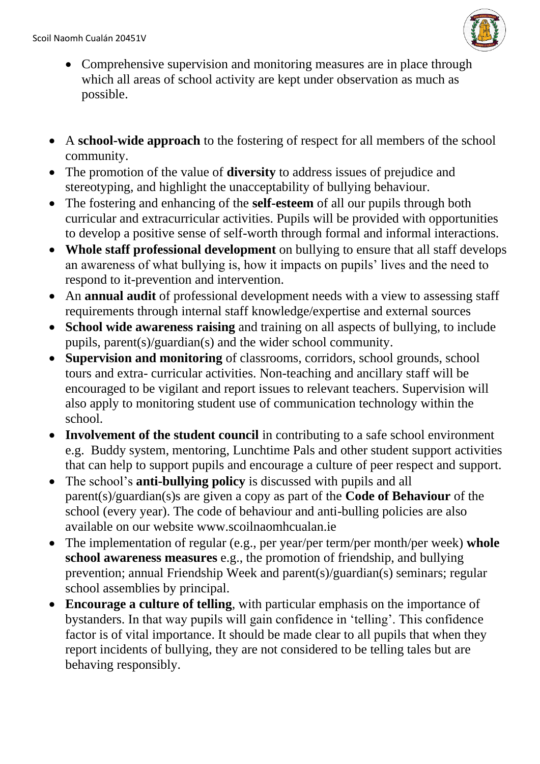

- Comprehensive supervision and monitoring measures are in place through which all areas of school activity are kept under observation as much as possible.
- A **school-wide approach** to the fostering of respect for all members of the school community.
- The promotion of the value of **diversity** to address issues of prejudice and stereotyping, and highlight the unacceptability of bullying behaviour.
- The fostering and enhancing of the **self-esteem** of all our pupils through both curricular and extracurricular activities. Pupils will be provided with opportunities to develop a positive sense of self-worth through formal and informal interactions.
- **Whole staff professional development** on bullying to ensure that all staff develops an awareness of what bullying is, how it impacts on pupils' lives and the need to respond to it-prevention and intervention.
- An **annual audit** of professional development needs with a view to assessing staff requirements through internal staff knowledge/expertise and external sources
- **School wide awareness raising** and training on all aspects of bullying, to include pupils, parent(s)/guardian(s) and the wider school community.
- **Supervision and monitoring** of classrooms, corridors, school grounds, school tours and extra- curricular activities. Non-teaching and ancillary staff will be encouraged to be vigilant and report issues to relevant teachers. Supervision will also apply to monitoring student use of communication technology within the school.
- **Involvement of the student council** in contributing to a safe school environment e.g. Buddy system, mentoring, Lunchtime Pals and other student support activities that can help to support pupils and encourage a culture of peer respect and support.
- The school's **anti-bullying policy** is discussed with pupils and all parent(s)/guardian(s)s are given a copy as part of the **Code of Behaviour** of the school (every year). The code of behaviour and anti-bulling policies are also available on our website www.scoilnaomhcualan.ie
- The implementation of regular (e.g., per year/per term/per month/per week) **whole school awareness measures** e.g., the promotion of friendship, and bullying prevention; annual Friendship Week and parent(s)/guardian(s) seminars; regular school assemblies by principal.
- **Encourage a culture of telling**, with particular emphasis on the importance of bystanders. In that way pupils will gain confidence in 'telling'. This confidence factor is of vital importance. It should be made clear to all pupils that when they report incidents of bullying, they are not considered to be telling tales but are behaving responsibly.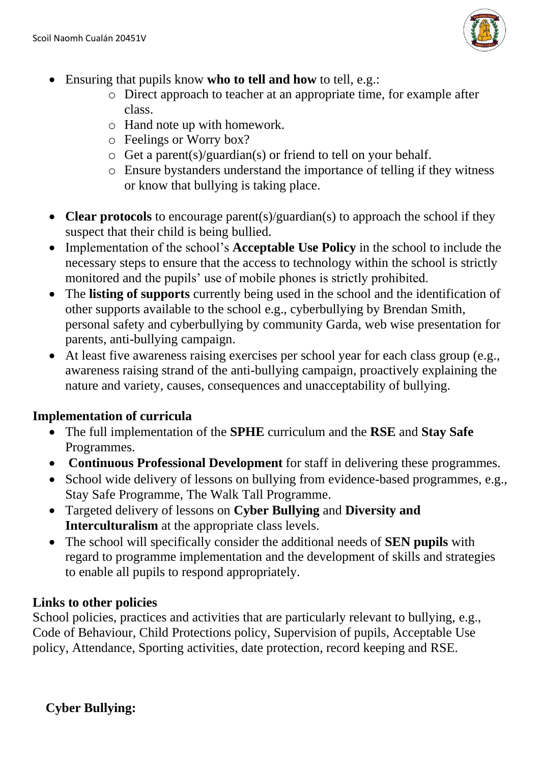

- Ensuring that pupils know **who to tell and how** to tell, e.g.:
	- o Direct approach to teacher at an appropriate time, for example after class.
	- o Hand note up with homework.
	- o Feelings or Worry box?
	- o Get a parent(s)/guardian(s) or friend to tell on your behalf.
	- o Ensure bystanders understand the importance of telling if they witness or know that bullying is taking place.
- **Clear protocols** to encourage parent(s)/guardian(s) to approach the school if they suspect that their child is being bullied.
- Implementation of the school's **Acceptable Use Policy** in the school to include the necessary steps to ensure that the access to technology within the school is strictly monitored and the pupils' use of mobile phones is strictly prohibited.
- The **listing of supports** currently being used in the school and the identification of other supports available to the school e.g., cyberbullying by Brendan Smith, personal safety and cyberbullying by community Garda, web wise presentation for parents, anti-bullying campaign.
- At least five awareness raising exercises per school year for each class group (e.g., awareness raising strand of the anti-bullying campaign, proactively explaining the nature and variety, causes, consequences and unacceptability of bullying.

## **Implementation of curricula**

- The full implementation of the **SPHE** curriculum and the **RSE** and **Stay Safe** Programmes.
- **Continuous Professional Development** for staff in delivering these programmes.
- School wide delivery of lessons on bullying from evidence-based programmes, e.g., Stay Safe Programme, The Walk Tall Programme.
- Targeted delivery of lessons on **Cyber Bullying** and **Diversity and Interculturalism** at the appropriate class levels.
- The school will specifically consider the additional needs of **SEN pupils** with regard to programme implementation and the development of skills and strategies to enable all pupils to respond appropriately.

## **Links to other policies**

School policies, practices and activities that are particularly relevant to bullying, e.g., Code of Behaviour, Child Protections policy, Supervision of pupils, Acceptable Use policy, Attendance, Sporting activities, date protection, record keeping and RSE.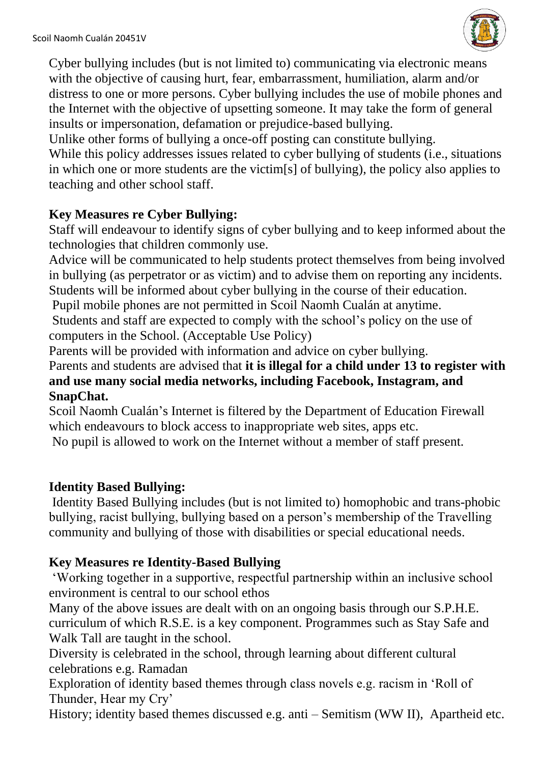

Cyber bullying includes (but is not limited to) communicating via electronic means with the objective of causing hurt, fear, embarrassment, humiliation, alarm and/or distress to one or more persons. Cyber bullying includes the use of mobile phones and the Internet with the objective of upsetting someone. It may take the form of general insults or impersonation, defamation or prejudice-based bullying.

Unlike other forms of bullying a once-off posting can constitute bullying.

While this policy addresses issues related to cyber bullying of students (i.e., situations in which one or more students are the victim[s] of bullying), the policy also applies to teaching and other school staff.

## **Key Measures re Cyber Bullying:**

Staff will endeavour to identify signs of cyber bullying and to keep informed about the technologies that children commonly use.

Advice will be communicated to help students protect themselves from being involved in bullying (as perpetrator or as victim) and to advise them on reporting any incidents. Students will be informed about cyber bullying in the course of their education.

Pupil mobile phones are not permitted in Scoil Naomh Cualán at anytime.

Students and staff are expected to comply with the school's policy on the use of computers in the School. (Acceptable Use Policy)

Parents will be provided with information and advice on cyber bullying.

Parents and students are advised that **it is illegal for a child under 13 to register with and use many social media networks, including Facebook, Instagram, and SnapChat.**

Scoil Naomh Cualán's Internet is filtered by the Department of Education Firewall which endeavours to block access to inappropriate web sites, apps etc.

No pupil is allowed to work on the Internet without a member of staff present.

## **Identity Based Bullying:**

Identity Based Bullying includes (but is not limited to) homophobic and trans-phobic bullying, racist bullying, bullying based on a person's membership of the Travelling community and bullying of those with disabilities or special educational needs.

## **Key Measures re Identity-Based Bullying**

'Working together in a supportive, respectful partnership within an inclusive school environment is central to our school ethos

Many of the above issues are dealt with on an ongoing basis through our S.P.H.E. curriculum of which R.S.E. is a key component. Programmes such as Stay Safe and Walk Tall are taught in the school.

Diversity is celebrated in the school, through learning about different cultural celebrations e.g. Ramadan

Exploration of identity based themes through class novels e.g. racism in 'Roll of Thunder, Hear my Cry'

History; identity based themes discussed e.g. anti – Semitism (WW II), Apartheid etc.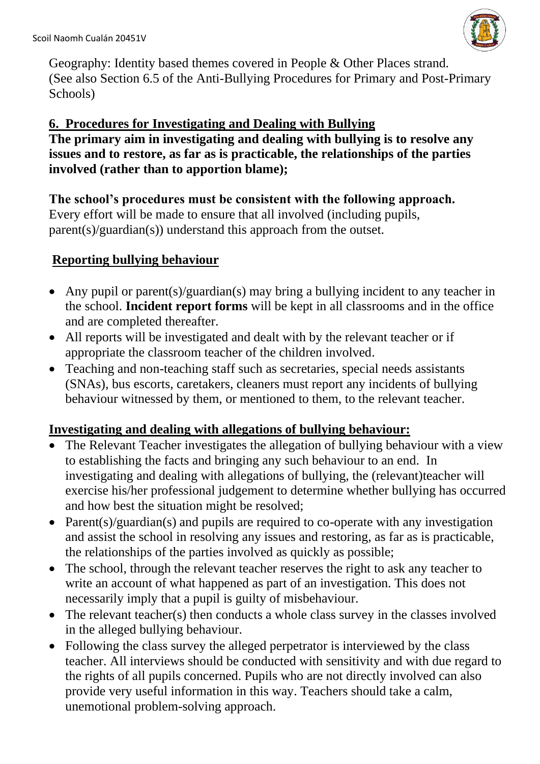

Geography: Identity based themes covered in People & Other Places strand. (See also Section 6.5 of the Anti-Bullying Procedures for Primary and Post-Primary Schools)

## **6. Procedures for Investigating and Dealing with Bullying**

**The primary aim in investigating and dealing with bullying is to resolve any issues and to restore, as far as is practicable, the relationships of the parties involved (rather than to apportion blame);**

#### **The school's procedures must be consistent with the following approach.**

Every effort will be made to ensure that all involved (including pupils, parent(s)/guardian(s)) understand this approach from the outset.

## **Reporting bullying behaviour**

- Any pupil or parent(s)/guardian(s) may bring a bullying incident to any teacher in the school. **Incident report forms** will be kept in all classrooms and in the office and are completed thereafter.
- All reports will be investigated and dealt with by the relevant teacher or if appropriate the classroom teacher of the children involved.
- Teaching and non-teaching staff such as secretaries, special needs assistants (SNAs), bus escorts, caretakers, cleaners must report any incidents of bullying behaviour witnessed by them, or mentioned to them, to the relevant teacher.

## **Investigating and dealing with allegations of bullying behaviour:**

- The Relevant Teacher investigates the allegation of bullying behaviour with a view to establishing the facts and bringing any such behaviour to an end. In investigating and dealing with allegations of bullying, the (relevant)teacher will exercise his/her professional judgement to determine whether bullying has occurred and how best the situation might be resolved;
- Parent(s)/guardian(s) and pupils are required to co-operate with any investigation and assist the school in resolving any issues and restoring, as far as is practicable, the relationships of the parties involved as quickly as possible;
- The school, through the relevant teacher reserves the right to ask any teacher to write an account of what happened as part of an investigation. This does not necessarily imply that a pupil is guilty of misbehaviour.
- The relevant teacher(s) then conducts a whole class survey in the classes involved in the alleged bullying behaviour.
- Following the class survey the alleged perpetrator is interviewed by the class teacher. All interviews should be conducted with sensitivity and with due regard to the rights of all pupils concerned. Pupils who are not directly involved can also provide very useful information in this way. Teachers should take a calm, unemotional problem-solving approach.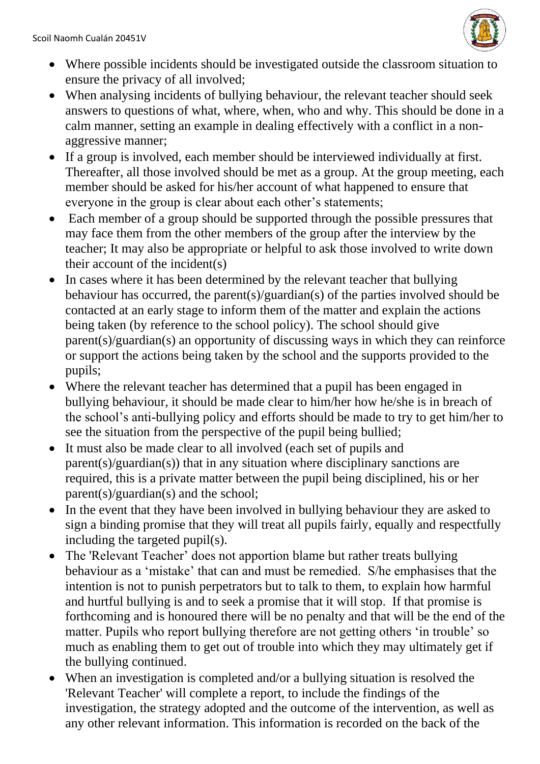

- Where possible incidents should be investigated outside the classroom situation to ensure the privacy of all involved;
- When analysing incidents of bullying behaviour, the relevant teacher should seek answers to questions of what, where, when, who and why. This should be done in a calm manner, setting an example in dealing effectively with a conflict in a nonaggressive manner;
- If a group is involved, each member should be interviewed individually at first. Thereafter, all those involved should be met as a group. At the group meeting, each member should be asked for his/her account of what happened to ensure that everyone in the group is clear about each other's statements;
- Each member of a group should be supported through the possible pressures that may face them from the other members of the group after the interview by the teacher; It may also be appropriate or helpful to ask those involved to write down their account of the incident(s)
- In cases where it has been determined by the relevant teacher that bullying behaviour has occurred, the parent(s)/guardian(s) of the parties involved should be contacted at an early stage to inform them of the matter and explain the actions being taken (by reference to the school policy). The school should give parent(s)/guardian(s) an opportunity of discussing ways in which they can reinforce or support the actions being taken by the school and the supports provided to the pupils;
- Where the relevant teacher has determined that a pupil has been engaged in bullying behaviour, it should be made clear to him/her how he/she is in breach of the school's anti-bullying policy and efforts should be made to try to get him/her to see the situation from the perspective of the pupil being bullied;
- It must also be made clear to all involved (each set of pupils and parent(s)/guardian(s)) that in any situation where disciplinary sanctions are required, this is a private matter between the pupil being disciplined, his or her parent(s)/guardian(s) and the school;
- In the event that they have been involved in bullying behaviour they are asked to sign a binding promise that they will treat all pupils fairly, equally and respectfully including the targeted pupil(s).
- The 'Relevant Teacher' does not apportion blame but rather treats bullying behaviour as a 'mistake' that can and must be remedied. S/he emphasises that the intention is not to punish perpetrators but to talk to them, to explain how harmful and hurtful bullying is and to seek a promise that it will stop. If that promise is forthcoming and is honoured there will be no penalty and that will be the end of the matter. Pupils who report bullying therefore are not getting others 'in trouble' so much as enabling them to get out of trouble into which they may ultimately get if the bullying continued.
- When an investigation is completed and/or a bullying situation is resolved the 'Relevant Teacher' will complete a report, to include the findings of the investigation, the strategy adopted and the outcome of the intervention, as well as any other relevant information. This information is recorded on the back of the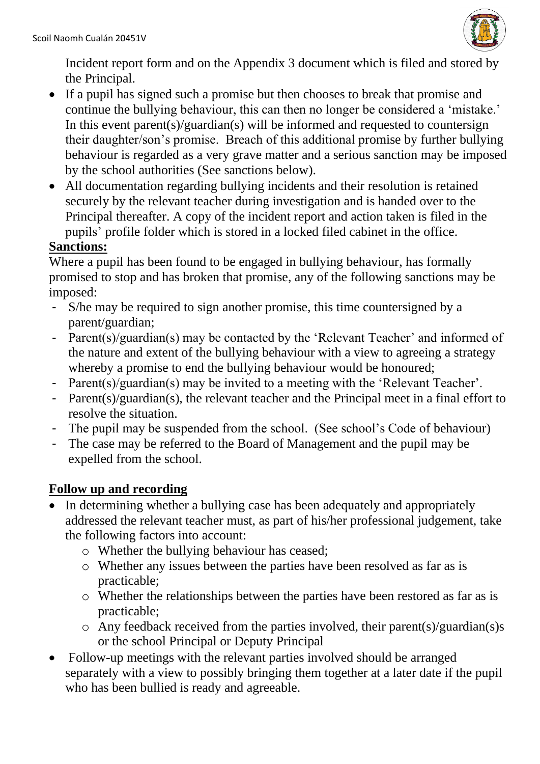

Incident report form and on the Appendix 3 document which is filed and stored by the Principal.

- If a pupil has signed such a promise but then chooses to break that promise and continue the bullying behaviour, this can then no longer be considered a 'mistake.' In this event parent(s)/guardian(s) will be informed and requested to countersign their daughter/son's promise. Breach of this additional promise by further bullying behaviour is regarded as a very grave matter and a serious sanction may be imposed by the school authorities (See sanctions below).
- All documentation regarding bullying incidents and their resolution is retained securely by the relevant teacher during investigation and is handed over to the Principal thereafter. A copy of the incident report and action taken is filed in the pupils' profile folder which is stored in a locked filed cabinet in the office.

## **Sanctions:**

Where a pupil has been found to be engaged in bullying behaviour, has formally promised to stop and has broken that promise, any of the following sanctions may be imposed:

- S/he may be required to sign another promise, this time countersigned by a parent/guardian;
- Parent(s)/guardian(s) may be contacted by the 'Relevant Teacher' and informed of the nature and extent of the bullying behaviour with a view to agreeing a strategy whereby a promise to end the bullying behaviour would be honoured;
- Parent(s)/guardian(s) may be invited to a meeting with the 'Relevant Teacher'.
- Parent(s)/guardian(s), the relevant teacher and the Principal meet in a final effort to resolve the situation.
- The pupil may be suspended from the school. (See school's Code of behaviour)
- The case may be referred to the Board of Management and the pupil may be expelled from the school.

## **Follow up and recording**

- In determining whether a bullying case has been adequately and appropriately addressed the relevant teacher must, as part of his/her professional judgement, take the following factors into account:
	- o Whether the bullying behaviour has ceased;
	- o Whether any issues between the parties have been resolved as far as is practicable;
	- o Whether the relationships between the parties have been restored as far as is practicable;
	- $\circ$  Any feedback received from the parties involved, their parent(s)/guardian(s)s or the school Principal or Deputy Principal
- Follow-up meetings with the relevant parties involved should be arranged separately with a view to possibly bringing them together at a later date if the pupil who has been bullied is ready and agreeable.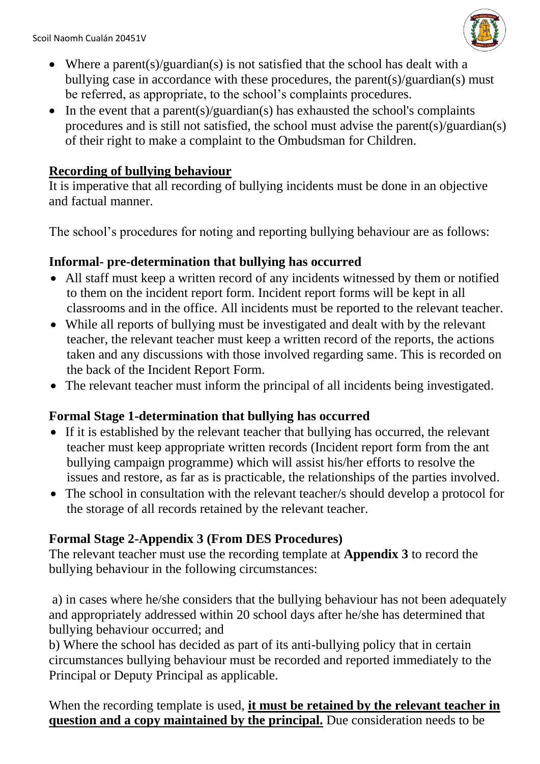

- Where a parent(s)/guardian(s) is not satisfied that the school has dealt with a bullying case in accordance with these procedures, the parent(s)/guardian(s) must be referred, as appropriate, to the school's complaints procedures.
- In the event that a parent(s)/guardian(s) has exhausted the school's complaints procedures and is still not satisfied, the school must advise the parent(s)/guardian(s) of their right to make a complaint to the Ombudsman for Children.

### **Recording of bullying behaviour**

It is imperative that all recording of bullying incidents must be done in an objective and factual manner.

The school's procedures for noting and reporting bullying behaviour are as follows:

#### **Informal- pre-determination that bullying has occurred**

- All staff must keep a written record of any incidents witnessed by them or notified to them on the incident report form. Incident report forms will be kept in all classrooms and in the office. All incidents must be reported to the relevant teacher.
- While all reports of bullying must be investigated and dealt with by the relevant teacher, the relevant teacher must keep a written record of the reports, the actions taken and any discussions with those involved regarding same. This is recorded on the back of the Incident Report Form.
- The relevant teacher must inform the principal of all incidents being investigated.

## **Formal Stage 1-determination that bullying has occurred**

- If it is established by the relevant teacher that bullying has occurred, the relevant teacher must keep appropriate written records (Incident report form from the ant bullying campaign programme) which will assist his/her efforts to resolve the issues and restore, as far as is practicable, the relationships of the parties involved.
- The school in consultation with the relevant teacher/s should develop a protocol for the storage of all records retained by the relevant teacher.

## **Formal Stage 2-Appendix 3 (From DES Procedures)**

The relevant teacher must use the recording template at **Appendix 3** to record the bullying behaviour in the following circumstances:

a) in cases where he/she considers that the bullying behaviour has not been adequately and appropriately addressed within 20 school days after he/she has determined that bullying behaviour occurred; and

b) Where the school has decided as part of its anti-bullying policy that in certain circumstances bullying behaviour must be recorded and reported immediately to the Principal or Deputy Principal as applicable.

When the recording template is used, **it must be retained by the relevant teacher in question and a copy maintained by the principal.** Due consideration needs to be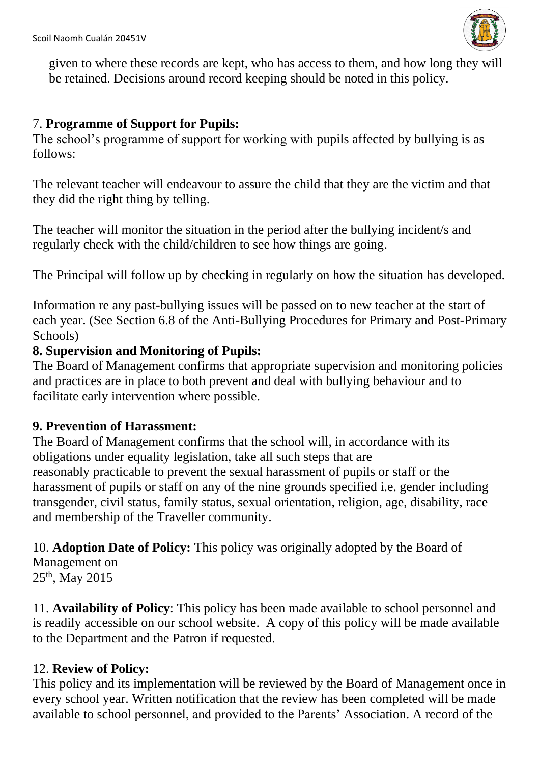

given to where these records are kept, who has access to them, and how long they will be retained. Decisions around record keeping should be noted in this policy.

## 7. **Programme of Support for Pupils:**

The school's programme of support for working with pupils affected by bullying is as follows:

The relevant teacher will endeavour to assure the child that they are the victim and that they did the right thing by telling.

The teacher will monitor the situation in the period after the bullying incident/s and regularly check with the child/children to see how things are going.

The Principal will follow up by checking in regularly on how the situation has developed.

Information re any past-bullying issues will be passed on to new teacher at the start of each year. (See Section 6.8 of the Anti-Bullying Procedures for Primary and Post-Primary Schools)

#### **8. Supervision and Monitoring of Pupils:**

The Board of Management confirms that appropriate supervision and monitoring policies and practices are in place to both prevent and deal with bullying behaviour and to facilitate early intervention where possible.

#### **9. Prevention of Harassment:**

The Board of Management confirms that the school will, in accordance with its obligations under equality legislation, take all such steps that are reasonably practicable to prevent the sexual harassment of pupils or staff or the harassment of pupils or staff on any of the nine grounds specified i.e. gender including transgender, civil status, family status, sexual orientation, religion, age, disability, race and membership of the Traveller community.

10. **Adoption Date of Policy:** This policy was originally adopted by the Board of Management on

25th, May 2015

11. **Availability of Policy**: This policy has been made available to school personnel and is readily accessible on our school website. A copy of this policy will be made available to the Department and the Patron if requested.

## 12. **Review of Policy:**

This policy and its implementation will be reviewed by the Board of Management once in every school year. Written notification that the review has been completed will be made available to school personnel, and provided to the Parents' Association. A record of the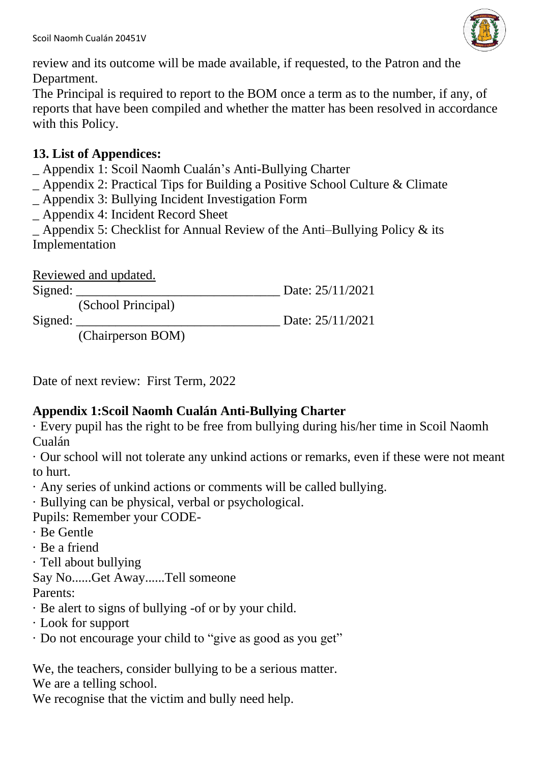

review and its outcome will be made available, if requested, to the Patron and the Department.

The Principal is required to report to the BOM once a term as to the number, if any, of reports that have been compiled and whether the matter has been resolved in accordance with this Policy.

## **13. List of Appendices:**

- \_ Appendix 1: Scoil Naomh Cualán's Anti-Bullying Charter
- \_ Appendix 2: Practical Tips for Building a Positive School Culture & Climate
- \_ Appendix 3: Bullying Incident Investigation Form
- \_ Appendix 4: Incident Record Sheet

 $\Delta$  Appendix 5: Checklist for Annual Review of the Anti–Bullying Policy & its Implementation

|         | Reviewed and updated. |                  |
|---------|-----------------------|------------------|
| Sigma:  |                       | Date: 25/11/2021 |
|         | (School Principal)    |                  |
| Signed: |                       | Date: 25/11/2021 |
|         | (Chairperson BOM)     |                  |

Date of next review: First Term, 2022

## **Appendix 1:Scoil Naomh Cualán Anti-Bullying Charter**

· Every pupil has the right to be free from bullying during his/her time in Scoil Naomh Cualán

· Our school will not tolerate any unkind actions or remarks, even if these were not meant to hurt.

· Any series of unkind actions or comments will be called bullying.

· Bullying can be physical, verbal or psychological.

Pupils: Remember your CODE-

- · Be Gentle
- · Be a friend
- · Tell about bullying

Say No......Get Away......Tell someone

Parents:

- · Be alert to signs of bullying -of or by your child.
- · Look for support
- · Do not encourage your child to "give as good as you get"

We, the teachers, consider bullying to be a serious matter.

We are a telling school.

We recognise that the victim and bully need help.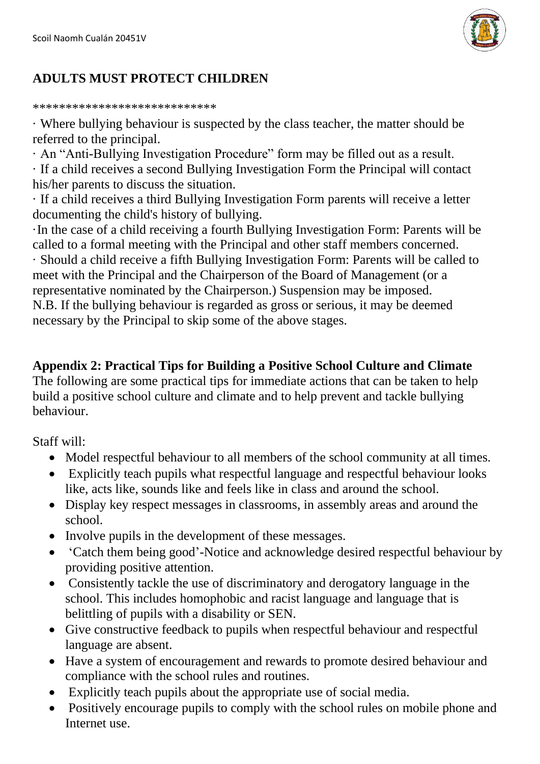

## **ADULTS MUST PROTECT CHILDREN**

\*\*\*\*\*\*\*\*\*\*\*\*\*\*\*\*\*\*\*\*\*\*\*\*\*\*\*\*

· Where bullying behaviour is suspected by the class teacher, the matter should be referred to the principal.

· An "Anti-Bullying Investigation Procedure" form may be filled out as a result. · If a child receives a second Bullying Investigation Form the Principal will contact his/her parents to discuss the situation.

· If a child receives a third Bullying Investigation Form parents will receive a letter documenting the child's history of bullying.

·In the case of a child receiving a fourth Bullying Investigation Form: Parents will be called to a formal meeting with the Principal and other staff members concerned. · Should a child receive a fifth Bullying Investigation Form: Parents will be called to meet with the Principal and the Chairperson of the Board of Management (or a representative nominated by the Chairperson.) Suspension may be imposed. N.B. If the bullying behaviour is regarded as gross or serious, it may be deemed necessary by the Principal to skip some of the above stages.

#### **Appendix 2: Practical Tips for Building a Positive School Culture and Climate**

The following are some practical tips for immediate actions that can be taken to help build a positive school culture and climate and to help prevent and tackle bullying behaviour.

Staff will:

- Model respectful behaviour to all members of the school community at all times.
- Explicitly teach pupils what respectful language and respectful behaviour looks like, acts like, sounds like and feels like in class and around the school.
- Display key respect messages in classrooms, in assembly areas and around the school.
- Involve pupils in the development of these messages.
- 'Catch them being good'-Notice and acknowledge desired respectful behaviour by providing positive attention.
- Consistently tackle the use of discriminatory and derogatory language in the school. This includes homophobic and racist language and language that is belittling of pupils with a disability or SEN.
- Give constructive feedback to pupils when respectful behaviour and respectful language are absent.
- Have a system of encouragement and rewards to promote desired behaviour and compliance with the school rules and routines.
- Explicitly teach pupils about the appropriate use of social media.
- Positively encourage pupils to comply with the school rules on mobile phone and Internet use.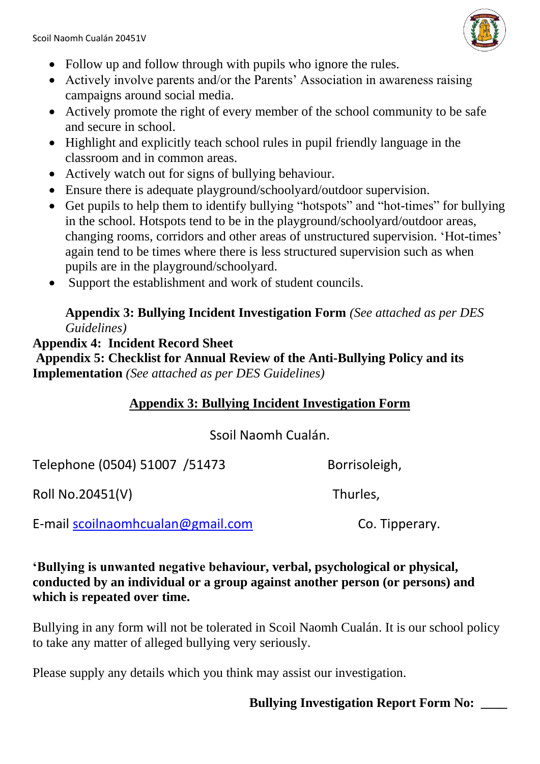

- Follow up and follow through with pupils who ignore the rules.
- Actively involve parents and/or the Parents' Association in awareness raising campaigns around social media.
- Actively promote the right of every member of the school community to be safe and secure in school.
- Highlight and explicitly teach school rules in pupil friendly language in the classroom and in common areas.
- Actively watch out for signs of bullying behaviour.
- Ensure there is adequate playground/schoolyard/outdoor supervision.
- Get pupils to help them to identify bullying "hotspots" and "hot-times" for bullying in the school. Hotspots tend to be in the playground/schoolyard/outdoor areas, changing rooms, corridors and other areas of unstructured supervision. 'Hot-times' again tend to be times where there is less structured supervision such as when pupils are in the playground/schoolyard.
- Support the establishment and work of student councils.

#### **Appendix 3: Bullying Incident Investigation Form** *(See attached as per DES Guidelines)*

## **Appendix 4: Incident Record Sheet**

**Appendix 5: Checklist for Annual Review of the Anti-Bullying Policy and its Implementation** *(See attached as per DES Guidelines)*

## **Appendix 3: Bullying Incident Investigation Form**

## Ssoil Naomh Cualán.

Telephone (0504) 51007 / 51473 Borrisoleigh,

Roll No.20451(V) Thurles,

E-mail [scoilnaomhcualan@gmail.com](mailto:scoilnaomhcualan@gmail.com) Co. Tipperary.

#### **'Bullying is unwanted negative behaviour, verbal, psychological or physical, conducted by an individual or a group against another person (or persons) and which is repeated over time.**

Bullying in any form will not be tolerated in Scoil Naomh Cualán. It is our school policy to take any matter of alleged bullying very seriously.

Please supply any details which you think may assist our investigation.

## **Bullying Investigation Report Form No: \_\_\_\_**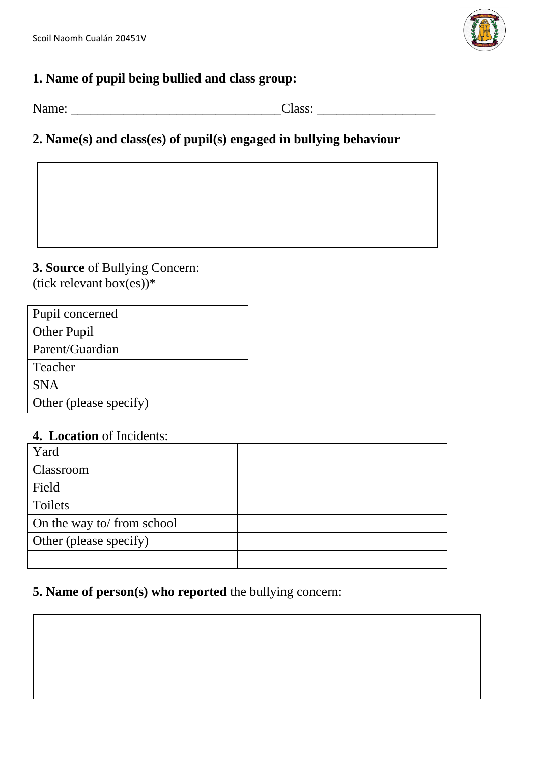

## **1. Name of pupil being bullied and class group:**

Name: \_\_\_\_\_\_\_\_\_\_\_\_\_\_\_\_\_\_\_\_\_\_\_\_\_\_\_\_\_\_\_\_Class: \_\_\_\_\_\_\_\_\_\_\_\_\_\_\_\_\_\_

## **2. Name(s) and class(es) of pupil(s) engaged in bullying behaviour**

**3. Source** of Bullying Concern: (tick relevant box(es))\*

| Pupil concerned        |  |
|------------------------|--|
| <b>Other Pupil</b>     |  |
| Parent/Guardian        |  |
| Teacher                |  |
| <b>SNA</b>             |  |
| Other (please specify) |  |

## **4. Location** of Incidents:

| Yard                       |  |
|----------------------------|--|
| Classroom                  |  |
| Field                      |  |
| Toilets                    |  |
| On the way to/ from school |  |
| Other (please specify)     |  |
|                            |  |

#### **5. Name of person(s) who reported** the bullying concern: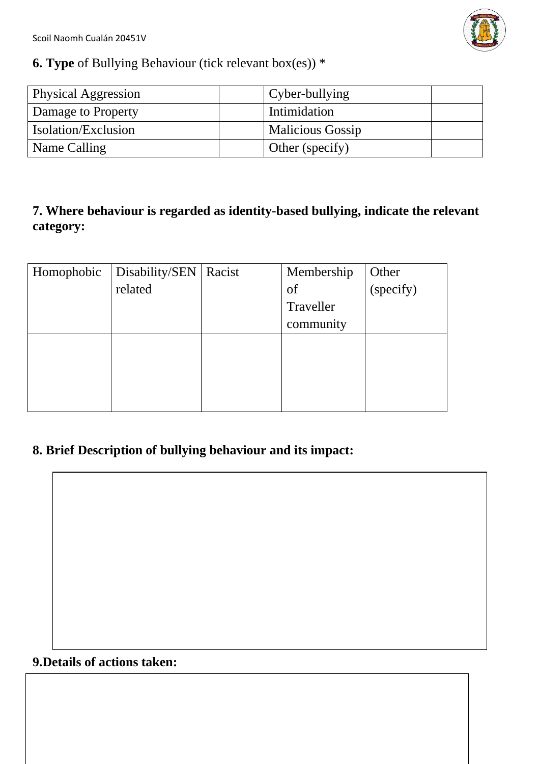Scoil Naomh Cualán 20451V



## **6. Type** of Bullying Behaviour (tick relevant box(es)) \*

| <b>Physical Aggression</b> | Cyber-bullying          |  |
|----------------------------|-------------------------|--|
| Damage to Property         | Intimidation            |  |
| <b>Isolation/Exclusion</b> | <b>Malicious Gossip</b> |  |
| Name Calling               | Other (specify)         |  |

## **7. Where behaviour is regarded as identity-based bullying, indicate the relevant category:**

|         | Membership              | Other     |
|---------|-------------------------|-----------|
| related | of                      | (specify) |
|         | Traveller               |           |
|         | community               |           |
|         |                         |           |
|         |                         |           |
|         |                         |           |
|         |                         |           |
|         | Disability/SEN   Racist |           |

## **8. Brief Description of bullying behaviour and its impact:**

**9.Details of actions taken:**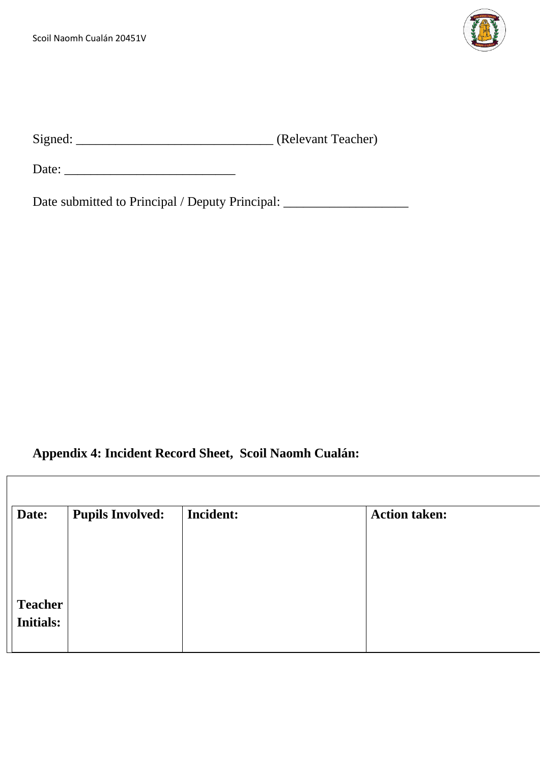

| Signed: | (Relevant Teacher) |
|---------|--------------------|
|         |                    |

Date: \_\_\_\_\_\_\_\_\_\_\_\_\_\_\_\_\_\_\_\_\_\_\_\_\_\_

Date submitted to Principal / Deputy Principal: \_\_\_\_\_\_\_\_\_\_\_\_\_\_\_\_\_\_\_\_\_\_\_\_\_\_\_\_\_\_\_\_

# **Appendix 4: Incident Record Sheet, Scoil Naomh Cualán:**

| Date:            | <b>Pupils Involved:</b> | <b>Incident:</b> | <b>Action taken:</b> |
|------------------|-------------------------|------------------|----------------------|
|                  |                         |                  |                      |
|                  |                         |                  |                      |
|                  |                         |                  |                      |
| <b>Teacher</b>   |                         |                  |                      |
| <b>Initials:</b> |                         |                  |                      |
|                  |                         |                  |                      |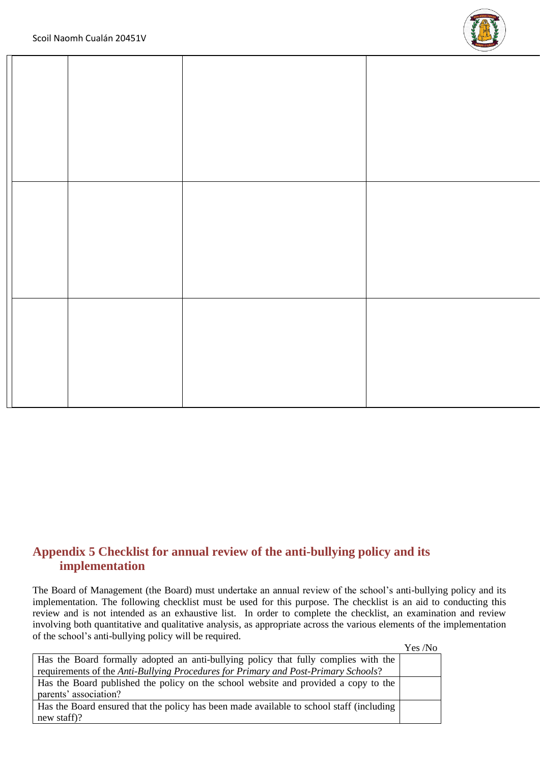

#### **Appendix 5 Checklist for annual review of the anti-bullying policy and its implementation**

The Board of Management (the Board) must undertake an annual review of the school's anti-bullying policy and its implementation. The following checklist must be used for this purpose. The checklist is an aid to conducting this review and is not intended as an exhaustive list. In order to complete the checklist, an examination and review involving both quantitative and qualitative analysis, as appropriate across the various elements of the implementation of the school's anti-bullying policy will be required.

|                                                                                          | Yes /No |
|------------------------------------------------------------------------------------------|---------|
| Has the Board formally adopted an anti-bullying policy that fully complies with the      |         |
| requirements of the Anti-Bullying Procedures for Primary and Post-Primary Schools?       |         |
| Has the Board published the policy on the school website and provided a copy to the      |         |
| parents' association?                                                                    |         |
| Has the Board ensured that the policy has been made available to school staff (including |         |
| new staff)?                                                                              |         |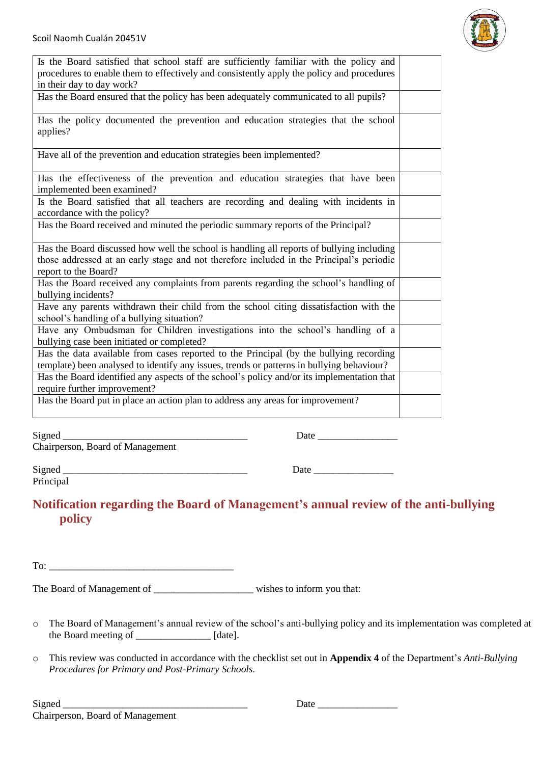| Is the Board satisfied that school staff are sufficiently familiar with the policy and<br>procedures to enable them to effectively and consistently apply the policy and procedures<br>in their day to day work? |  |
|------------------------------------------------------------------------------------------------------------------------------------------------------------------------------------------------------------------|--|
| Has the Board ensured that the policy has been adequately communicated to all pupils?                                                                                                                            |  |
| Has the policy documented the prevention and education strategies that the school<br>applies?                                                                                                                    |  |
| Have all of the prevention and education strategies been implemented?                                                                                                                                            |  |
| Has the effectiveness of the prevention and education strategies that have been<br>implemented been examined?                                                                                                    |  |
| Is the Board satisfied that all teachers are recording and dealing with incidents in<br>accordance with the policy?                                                                                              |  |
| Has the Board received and minuted the periodic summary reports of the Principal?                                                                                                                                |  |
| Has the Board discussed how well the school is handling all reports of bullying including<br>those addressed at an early stage and not therefore included in the Principal's periodic<br>report to the Board?    |  |
| Has the Board received any complaints from parents regarding the school's handling of<br>bullying incidents?                                                                                                     |  |
| Have any parents withdrawn their child from the school citing dissatisfaction with the<br>school's handling of a bullying situation?                                                                             |  |
| Have any Ombudsman for Children investigations into the school's handling of a<br>bullying case been initiated or completed?                                                                                     |  |
| Has the data available from cases reported to the Principal (by the bullying recording<br>template) been analysed to identify any issues, trends or patterns in bullying behaviour?                              |  |
| Has the Board identified any aspects of the school's policy and/or its implementation that<br>require further improvement?                                                                                       |  |
| Has the Board put in place an action plan to address any areas for improvement?                                                                                                                                  |  |

Signed \_\_\_\_\_\_\_\_\_\_\_\_\_\_\_\_\_\_\_\_\_\_\_\_\_\_\_\_\_\_\_\_\_\_\_\_\_ Date \_\_\_\_\_\_\_\_\_\_\_\_\_\_\_\_

Chairperson, Board of Management

Principal

Signed \_\_\_\_\_\_\_\_\_\_\_\_\_\_\_\_\_\_\_\_\_\_\_\_\_\_\_\_\_\_\_\_\_\_\_\_\_ Date \_\_\_\_\_\_\_\_\_\_\_\_\_\_\_\_

#### **Notification regarding the Board of Management's annual review of the anti-bullying policy**

To:  $\Box$ 

The Board of Management of \_\_\_\_\_\_\_\_\_\_\_\_\_\_\_\_\_\_\_\_\_\_\_\_\_ wishes to inform you that:

- o The Board of Management's annual review of the school's anti-bullying policy and its implementation was completed at the Board meeting of [date].
- o This review was conducted in accordance with the checklist set out in **Appendix 4** of the Department's *Anti-Bullying Procedures for Primary and Post-Primary Schools.*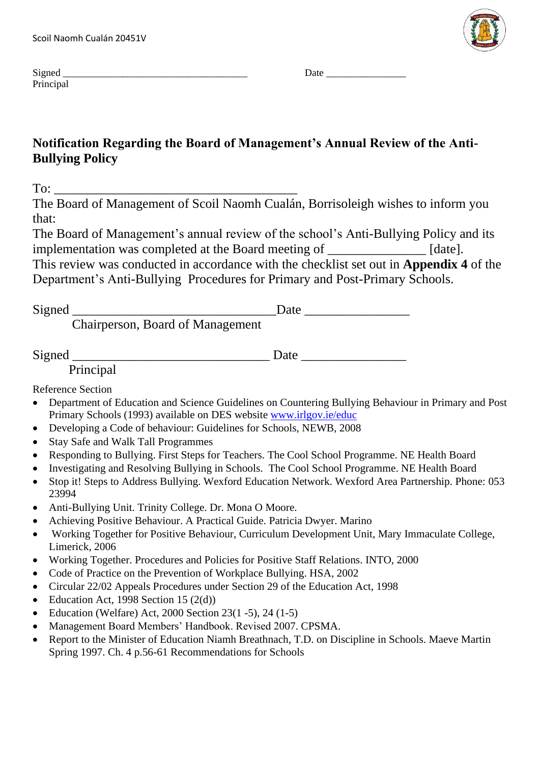

| $\sim$<br>$S10n$ $e$<br>ucu<br>~~                                        | )ato |
|--------------------------------------------------------------------------|------|
| $D_{\text{min}}$<br>the contract of the contract of the<br>$\sim$ $\sim$ |      |

### **Notification Regarding the Board of Management's Annual Review of the Anti-Bullying Policy**

 $To:$ 

The Board of Management of Scoil Naomh Cualán, Borrisoleigh wishes to inform you that:

The Board of Management's annual review of the school's Anti-Bullying Policy and its implementation was completed at the Board meeting of \_\_\_\_\_\_\_\_\_\_\_\_\_\_\_ [date]. This review was conducted in accordance with the checklist set out in **Appendix 4** of the Department's Anti-Bullying Procedures for Primary and Post-Primary Schools.

Signed \_\_\_\_\_\_\_\_\_\_\_\_\_\_\_\_\_\_\_\_\_\_\_\_\_\_\_\_\_\_\_Date \_\_\_\_\_\_\_\_\_\_\_\_\_\_\_\_

Chairperson, Board of Management

Signed \_\_\_\_\_\_\_\_\_\_\_\_\_\_\_\_\_\_\_\_\_\_\_\_\_\_\_\_\_\_ Date \_\_\_\_\_\_\_\_\_\_\_\_\_\_\_\_

Principal

Reference Section

- Department of Education and Science Guidelines on Countering Bullying Behaviour in Primary and Post Primary Schools (1993) available on DES website [www.irlgov.ie/educ](http://www.irlgov.ie/educ)
- Developing a Code of behaviour: Guidelines for Schools, NEWB, 2008
- Stay Safe and Walk Tall Programmes
- Responding to Bullying. First Steps for Teachers. The Cool School Programme. NE Health Board
- Investigating and Resolving Bullying in Schools. The Cool School Programme. NE Health Board
- Stop it! Steps to Address Bullying. Wexford Education Network. Wexford Area Partnership. Phone: 053 23994
- Anti-Bullying Unit. Trinity College. Dr. Mona O Moore.
- Achieving Positive Behaviour. A Practical Guide. Patricia Dwyer. Marino
- Working Together for Positive Behaviour, Curriculum Development Unit, Mary Immaculate College, Limerick, 2006
- Working Together. Procedures and Policies for Positive Staff Relations. INTO, 2000
- Code of Practice on the Prevention of Workplace Bullying. HSA, 2002
- Circular 22/02 Appeals Procedures under Section 29 of the Education Act, 1998
- Education Act, 1998 Section 15  $(2(d))$
- Education (Welfare) Act,  $2000$  Section  $23(1 5)$ ,  $24(1 5)$
- Management Board Members' Handbook. Revised 2007. CPSMA.
- Report to the Minister of Education Niamh Breathnach, T.D. on Discipline in Schools. Maeve Martin Spring 1997. Ch. 4 p.56-61 Recommendations for Schools